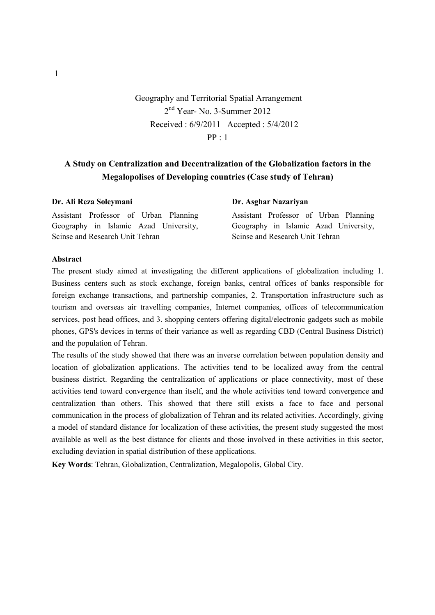# Geography and Territorial Spatial Arrangement 2nd Year- No. 3-Summer 2012 Received : 6/9/2011 Accepted : 5/4/2012  $PP \cdot 1$

# **A Study on Centralization and Decentralization of the Globalization factors in the Megalopolises of Developing countries (Case study of Tehran)**

| Dr. Ali Reza Soleymani                | Dr. Asghar Nazariyan                  |
|---------------------------------------|---------------------------------------|
| Assistant Professor of Urban Planning | Assistant Professor of Urban Planning |
| Geography in Islamic Azad University, | Geography in Islamic Azad University, |
| Scinse and Research Unit Tehran       | Scinse and Research Unit Tehran       |

### **Abstract**

The present study aimed at investigating the different applications of globalization including 1. Business centers such as stock exchange, foreign banks, central offices of banks responsible for foreign exchange transactions, and partnership companies, 2. Transportation infrastructure such as tourism and overseas air travelling companies, Internet companies, offices of telecommunication services, post head offices, and 3. shopping centers offering digital/electronic gadgets such as mobile phones, GPS's devices in terms of their variance as well as regarding CBD (Central Business District) and the population of Tehran.

The results of the study showed that there was an inverse correlation between population density and location of globalization applications. The activities tend to be localized away from the central business district. Regarding the centralization of applications or place connectivity, most of these activities tend toward convergence than itself, and the whole activities tend toward convergence and centralization than others. This showed that there still exists a face to face and personal communication in the process of globalization of Tehran and its related activities. Accordingly, giving a model of standard distance for localization of these activities, the present study suggested the most available as well as the best distance for clients and those involved in these activities in this sector, excluding deviation in spatial distribution of these applications.

**Key Words**: Tehran, Globalization, Centralization, Megalopolis, Global City.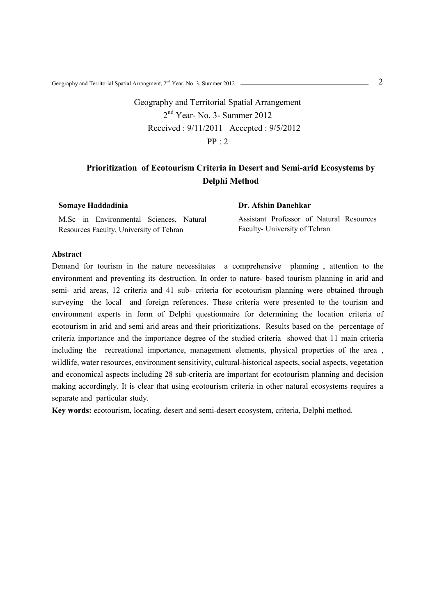Geography and Territorial Spatial Arrangment, 2nd Year, No. 3, Summer 2012 2

Geography and Territorial Spatial Arrangement 2nd Year- No. 3- Summer 2012 Received : 9/11/2011 Accepted : 9/5/2012 PP : 2

# **Prioritization of Ecotourism Criteria in Desert and Semi-arid Ecosystems by Delphi Method**

**Somaye Haddadinia** 

M.Sc in Environmental Sciences, Natural Resources Faculty, University of Tehran

**Dr. Afshin Danehkar** 

Assistant Professor of Natural Resources Faculty- University of Tehran

### **Abstract**

Demand for tourism in the nature necessitates a comprehensive planning , attention to the environment and preventing its destruction. In order to nature- based tourism planning in arid and semi- arid areas, 12 criteria and 41 sub- criteria for ecotourism planning were obtained through surveying the local and foreign references. These criteria were presented to the tourism and environment experts in form of Delphi questionnaire for determining the location criteria of ecotourism in arid and semi arid areas and their prioritizations. Results based on the percentage of criteria importance and the importance degree of the studied criteria showed that 11 main criteria including the recreational importance, management elements, physical properties of the area , wildlife, water resources, environment sensitivity, cultural-historical aspects, social aspects, vegetation and economical aspects including 28 sub-criteria are important for ecotourism planning and decision making accordingly. It is clear that using ecotourism criteria in other natural ecosystems requires a separate and particular study.

**Key words:** ecotourism, locating, desert and semi-desert ecosystem, criteria, Delphi method.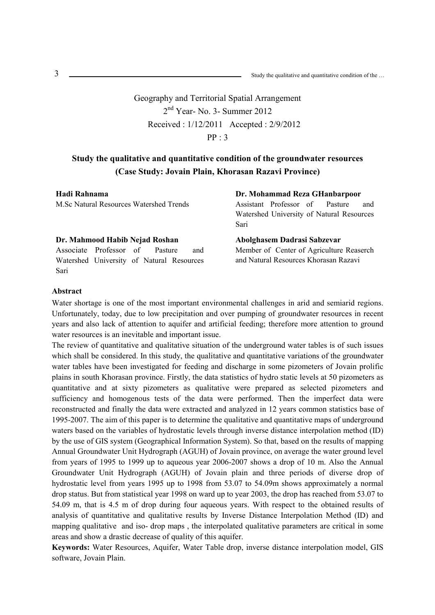Geography and Territorial Spatial Arrangement 2nd Year- No. 3- Summer 2012 Received : 1/12/2011 Accepted : 2/9/2012  $PP \cdot 3$ 

# **Study the qualitative and quantitative condition of the groundwater resources (Case Study: Jovain Plain, Khorasan Razavi Province)**

#### **Hadi Rahnama**

M.Sc Natural Resources Watershed Trends

#### **Dr. Mahmood Habib Nejad Roshan**

Associate Professor of Pasture and Watershed University of Natural Resources Sari

**Dr. Mohammad Reza GHanbarpoor** 

Assistant Professor of Pasture and Watershed University of Natural Resources Sari

**Abolghasem Dadrasi Sabzevar**  Member of Center of Agriculture Reaserch and Natural Resources Khorasan Razavi

#### **Abstract**

Water shortage is one of the most important environmental challenges in arid and semiarid regions. Unfortunately, today, due to low precipitation and over pumping of groundwater resources in recent years and also lack of attention to aquifer and artificial feeding; therefore more attention to ground water resources is an inevitable and important issue.

The review of quantitative and qualitative situation of the underground water tables is of such issues which shall be considered. In this study, the qualitative and quantitative variations of the groundwater water tables have been investigated for feeding and discharge in some pizometers of Jovain prolific plains in south Khorasan province. Firstly, the data statistics of hydro static levels at 50 pizometers as quantitative and at sixty pizometers as qualitative were prepared as selected pizometers and sufficiency and homogenous tests of the data were performed. Then the imperfect data were reconstructed and finally the data were extracted and analyzed in 12 years common statistics base of 1995-2007. The aim of this paper is to determine the qualitative and quantitative maps of underground waters based on the variables of hydrostatic levels through inverse distance interpolation method (ID) by the use of GIS system (Geographical Information System). So that, based on the results of mapping Annual Groundwater Unit Hydrograph (AGUH) of Jovain province, on average the water ground level from years of 1995 to 1999 up to aqueous year 2006-2007 shows a drop of 10 m. Also the Annual Groundwater Unit Hydrograph (AGUH) of Jovain plain and three periods of diverse drop of hydrostatic level from years 1995 up to 1998 from 53.07 to 54.09m shows approximately a normal drop status. But from statistical year 1998 on ward up to year 2003, the drop has reached from 53.07 to 54.09 m, that is 4.5 m of drop during four aqueous years. With respect to the obtained results of analysis of quantitative and qualitative results by Inverse Distance Interpolation Method (ID) and mapping qualitative and iso- drop maps , the interpolated qualitative parameters are critical in some areas and show a drastic decrease of quality of this aquifer.

**Keywords:** Water Resources, Aquifer, Water Table drop, inverse distance interpolation model, GIS software, Jovain Plain.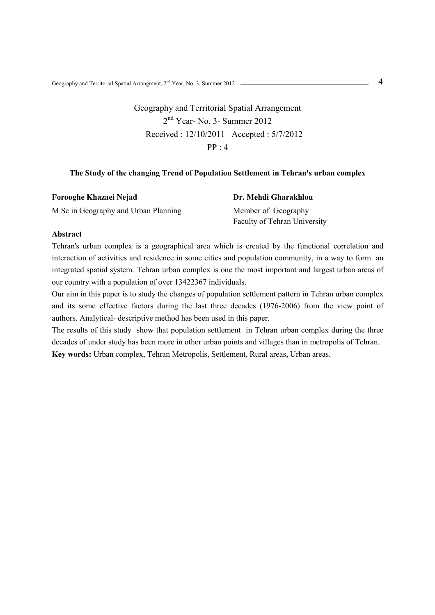Geography and Territorial Spatial Arrangment, 2nd Year, No. 3, Summer 2012 4

# Geography and Territorial Spatial Arrangement 2nd Year- No. 3- Summer 2012 Received : 12/10/2011 Accepted : 5/7/2012 PP : 4

## **The Study of the changing Trend of Population Settlement in Tehran's urban complex**

| Forooghe Khazaei Nejad               | Dr. Mehdi Gharakhlou         |
|--------------------------------------|------------------------------|
| M.Sc in Geography and Urban Planning | Member of Geography          |
|                                      | Faculty of Tehran University |

### **Abstract**

Tehran's urban complex is a geographical area which is created by the functional correlation and interaction of activities and residence in some cities and population community, in a way to form an integrated spatial system. Tehran urban complex is one the most important and largest urban areas of our country with a population of over 13422367 individuals.

Our aim in this paper is to study the changes of population settlement pattern in Tehran urban complex and its some effective factors during the last three decades (1976-2006) from the view point of authors. Analytical- descriptive method has been used in this paper.

The results of this study show that population settlement in Tehran urban complex during the three decades of under study has been more in other urban points and villages than in metropolis of Tehran. **Key words:** Urban complex, Tehran Metropolis, Settlement, Rural areas, Urban areas.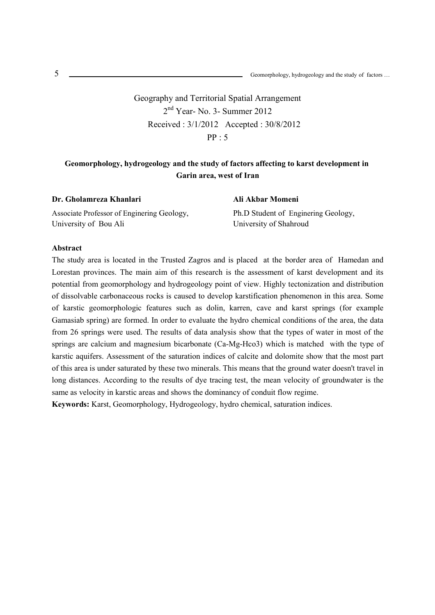Geography and Territorial Spatial Arrangement 2nd Year- No. 3- Summer 2012 Received : 3/1/2012 Accepted : 30/8/2012  $PP \cdot 5$ 

# **Geomorphology, hydrogeology and the study of factors affecting to karst development in Garin area, west of Iran**

| Dr. Gholamreza Khanlari                    | Ali Akbar Momeni                    |
|--------------------------------------------|-------------------------------------|
| Associate Professor of Enginering Geology, | Ph.D Student of Enginering Geology, |
| University of Bou Ali                      | University of Shahroud              |

#### **Abstract**

The study area is located in the Trusted Zagros and is placed at the border area of Hamedan and Lorestan provinces. The main aim of this research is the assessment of karst development and its potential from geomorphology and hydrogeology point of view. Highly tectonization and distribution of dissolvable carbonaceous rocks is caused to develop karstification phenomenon in this area. Some of karstic geomorphologic features such as dolin, karren, cave and karst springs (for example Gamasiab spring) are formed. In order to evaluate the hydro chemical conditions of the area, the data from 26 springs were used. The results of data analysis show that the types of water in most of the springs are calcium and magnesium bicarbonate (Ca-Mg-Hco3) which is matched with the type of karstic aquifers. Assessment of the saturation indices of calcite and dolomite show that the most part of this area is under saturated by these two minerals. This means that the ground water doesn't travel in long distances. According to the results of dye tracing test, the mean velocity of groundwater is the same as velocity in karstic areas and shows the dominancy of conduit flow regime.

**Keywords:** Karst, Geomorphology, Hydrogeology, hydro chemical, saturation indices.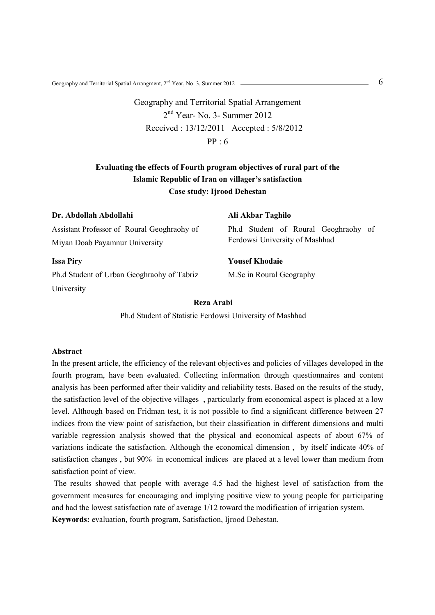Geography and Territorial Spatial Arrangment,  $2^{nd}$  Year, No. 3, Summer 2012  $\sim$  6

Geography and Territorial Spatial Arrangement 2nd Year- No. 3- Summer 2012 Received : 13/12/2011 Accepted : 5/8/2012 PP : 6

# **Evaluating the effects of Fourth program objectives of rural part of the Islamic Republic of Iran on villager's satisfaction Case study: Ijrood Dehestan**

| Dr. Abdollah Abdollahi                      | Ali Akbar Taghilo                                                      |  |
|---------------------------------------------|------------------------------------------------------------------------|--|
| Assistant Professor of Roural Geoghraohy of | Ph.d Student of Roural Geoghraphy of<br>Ferdowsi University of Mashhad |  |
| Miyan Doab Payamnur University              |                                                                        |  |
| <b>Issa Piry</b>                            | <b>Yousef Khodaie</b>                                                  |  |
| Ph.d Student of Urban Geoghraohy of Tabriz  | M.Sc in Roural Geography                                               |  |
| University                                  |                                                                        |  |
| Reza Arabi                                  |                                                                        |  |

Ph.d Student of Statistic Ferdowsi University of Mashhad

### **Abstract**

In the present article, the efficiency of the relevant objectives and policies of villages developed in the fourth program, have been evaluated. Collecting information through questionnaires and content analysis has been performed after their validity and reliability tests. Based on the results of the study, the satisfaction level of the objective villages , particularly from economical aspect is placed at a low level. Although based on Fridman test, it is not possible to find a significant difference between 27 indices from the view point of satisfaction, but their classification in different dimensions and multi variable regression analysis showed that the physical and economical aspects of about 67% of variations indicate the satisfaction. Although the economical dimension , by itself indicate 40% of satisfaction changes , but 90% in economical indices are placed at a level lower than medium from satisfaction point of view.

 The results showed that people with average 4.5 had the highest level of satisfaction from the government measures for encouraging and implying positive view to young people for participating and had the lowest satisfaction rate of average 1/12 toward the modification of irrigation system. **Keywords:** evaluation, fourth program, Satisfaction, Ijrood Dehestan.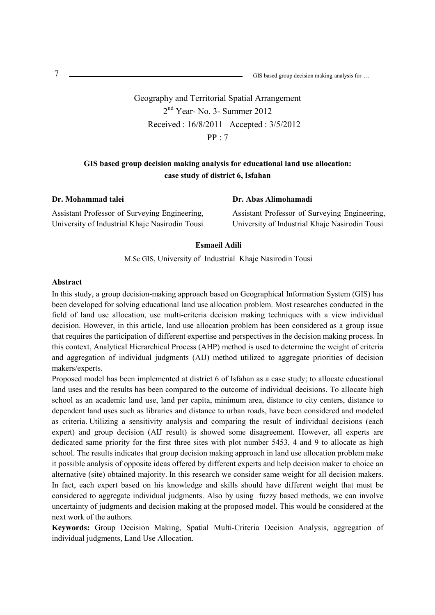GIS based group decision making analysis for …

Geography and Territorial Spatial Arrangement 2nd Year- No. 3- Summer 2012 Received : 16/8/2011 Accepted : 3/5/2012  $PP \cdot 7$ 

## **GIS based group decision making analysis for educational land use allocation: case study of district 6, Isfahan**

**Dr. Mohammad talei** 

Assistant Professor of Surveying Engineering, University of Industrial Khaje Nasirodin Tousi

### **Dr. Abas Alimohamadi**

Assistant Professor of Surveying Engineering, University of Industrial Khaje Nasirodin Tousi

### **Esmaeil Adili**

M.Sc GIS, University of Industrial Khaje Nasirodin Tousi

#### **Abstract**

In this study, a group decision-making approach based on Geographical Information System (GIS) has been developed for solving educational land use allocation problem. Most researches conducted in the field of land use allocation, use multi-criteria decision making techniques with a view individual decision. However, in this article, land use allocation problem has been considered as a group issue that requires the participation of different expertise and perspectives in the decision making process. In this context, Analytical Hierarchical Process (AHP) method is used to determine the weight of criteria and aggregation of individual judgments (AIJ) method utilized to aggregate priorities of decision makers/experts.

Proposed model has been implemented at district 6 of Isfahan as a case study; to allocate educational land uses and the results has been compared to the outcome of individual decisions. To allocate high school as an academic land use, land per capita, minimum area, distance to city centers, distance to dependent land uses such as libraries and distance to urban roads, have been considered and modeled as criteria. Utilizing a sensitivity analysis and comparing the result of individual decisions (each expert) and group decision (AIJ result) is showed some disagreement. However, all experts are dedicated same priority for the first three sites with plot number 5453, 4 and 9 to allocate as high school. The results indicates that group decision making approach in land use allocation problem make it possible analysis of opposite ideas offered by different experts and help decision maker to choice an alternative (site) obtained majority. In this research we consider same weight for all decision makers. In fact, each expert based on his knowledge and skills should have different weight that must be considered to aggregate individual judgments. Also by using fuzzy based methods, we can involve uncertainty of judgments and decision making at the proposed model. This would be considered at the next work of the authors.

**Keywords:** Group Decision Making, Spatial Multi-Criteria Decision Analysis, aggregation of individual judgments, Land Use Allocation.